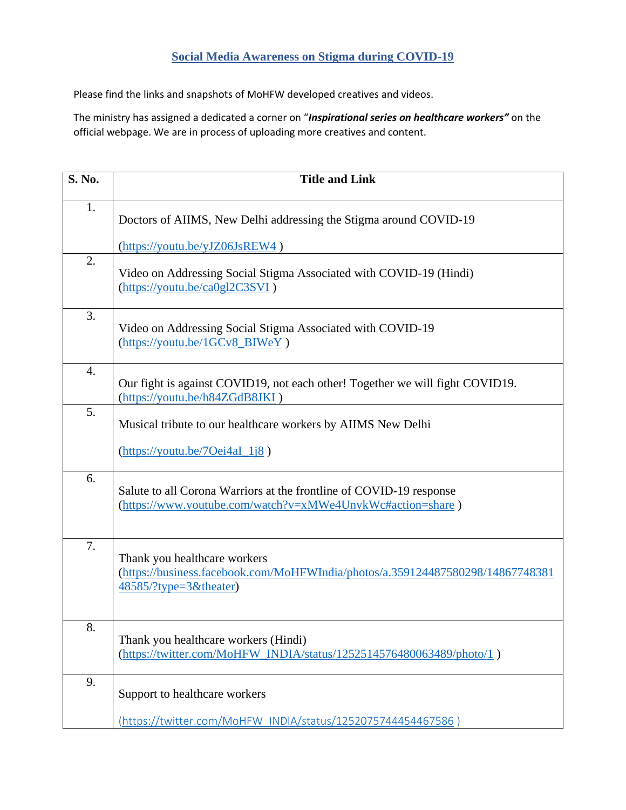## **Social Media Awareness on Stigma during COVID-19**

Please find the links and snapshots of MoHFW developed creatives and videos.

The ministry has assigned a dedicated a corner on "*Inspirational series on healthcare workers"* on the official webpage. We are in process of uploading more creatives and content.

| S. No.           | <b>Title and Link</b>                                                                                                                    |
|------------------|------------------------------------------------------------------------------------------------------------------------------------------|
| 1.               | Doctors of AIIMS, New Delhi addressing the Stigma around COVID-19                                                                        |
|                  | (https://youtu.be/yJZ06JsREW4)                                                                                                           |
| 2.               | Video on Addressing Social Stigma Associated with COVID-19 (Hindi)<br>(htips://youtu.be/ca0gl2C3SVI)                                     |
| 3.               | Video on Addressing Social Stigma Associated with COVID-19<br>(https://youtu.be/1GCv8_BIWeY)                                             |
| $\overline{4}$ . | Our fight is against COVID19, not each other! Together we will fight COVID19.<br>(https://youtu.be/h84ZGdB8JKI)                          |
| 5.               | Musical tribute to our healthcare workers by AIIMS New Delhi                                                                             |
|                  | $(\frac{https://youtu.be/70ei4aI_1i8}{https://youtu.be/70ei4aI_1i8})$                                                                    |
| 6.               | Salute to all Corona Warriors at the frontline of COVID-19 response<br>(https://www.youtube.com/watch?v=xMWe4UnykWc#action=share)        |
| 7.               | Thank you healthcare workers<br>(https://business.facebook.com/MoHFWIndia/photos/a.359124487580298/14867748381<br>48585/?type=3&theater) |
| 8.               | Thank you healthcare workers (Hindi)<br>(https://twitter.com/MoHFW_INDIA/status/1252514576480063489/photo/1)                             |
| 9.               | Support to healthcare workers                                                                                                            |
|                  | (https://twitter.com/MoHFW INDIA/status/1252075744454467586)                                                                             |